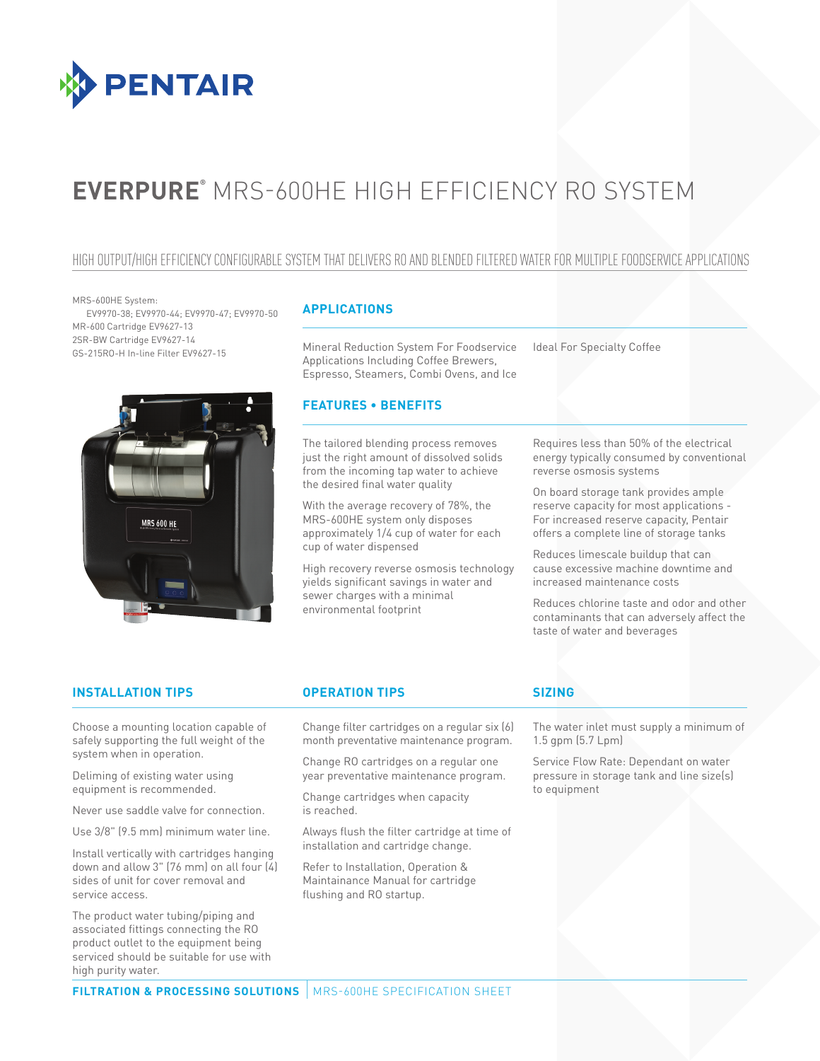

# **EVERPURE®** MRS-600HE HIGH EFFICIENCY RO SYSTEM

# HIGH OUTPUT/HIGH EFFICIENCY CONFIGURABLE SYSTEM THAT DELIVERS RO AND BLENDED FILTERED WATER FOR MULTIPLE FOODSERVICE APPLICATIONS

MRS-600HE System:

 EV9970-38; EV9970-44; EV9970-47; EV9970-50 MR-600 Cartridge EV9627-13 2SR-BW Cartridge EV9627-14 GS-215RO-H In-line Filter EV9627-15



# **APPLICATIONS**

Mineral Reduction System For Foodservice Applications Including Coffee Brewers, Espresso, Steamers, Combi Ovens, and Ice

# **FEATURES • BENEFITS**

The tailored blending process removes just the right amount of dissolved solids from the incoming tap water to achieve the desired final water quality

With the average recovery of 78%, the MRS-600HE system only disposes approximately 1/4 cup of water for each cup of water dispensed

High recovery reverse osmosis technology yields significant savings in water and sewer charges with a minimal environmental footprint

Ideal For Specialty Coffee

Requires less than 50% of the electrical energy typically consumed by conventional reverse osmosis systems

On board storage tank provides ample reserve capacity for most applications - For increased reserve capacity, Pentair offers a complete line of storage tanks

Reduces limescale buildup that can cause excessive machine downtime and increased maintenance costs

Reduces chlorine taste and odor and other contaminants that can adversely affect the taste of water and beverages

# **INSTALLATION TIPS OPERATION TIPS**

Choose a mounting location capable of safely supporting the full weight of the system when in operation.

Deliming of existing water using equipment is recommended.

Never use saddle valve for connection.

Use 3/8" (9.5 mm) minimum water line.

Install vertically with cartridges hanging down and allow 3" (76 mm) on all four (4) sides of unit for cover removal and service access.

The product water tubing/piping and associated fittings connecting the RO product outlet to the equipment being serviced should be suitable for use with high purity water.

Change filter cartridges on a regular six (6) month preventative maintenance program.

Change RO cartridges on a regular one year preventative maintenance program.

Change cartridges when capacity is reached.

Always flush the filter cartridge at time of installation and cartridge change.

Refer to Installation, Operation & Maintainance Manual for cartridge flushing and RO startup.

### **SIZING**

The water inlet must supply a minimum of 1.5 gpm (5.7 Lpm)

Service Flow Rate: Dependant on water pressure in storage tank and line size(s) to equipment